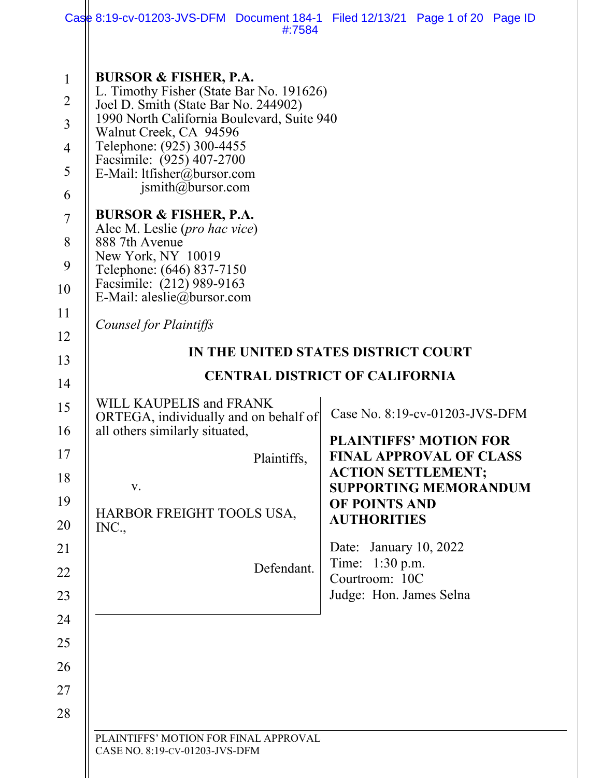|                                                                                                                                                                                                    | Case 8:19-cv-01203-JVS-DFM Document 184-1 Filed 12/13/21 Page 1 of 20 Page ID<br>#:7584                                                                                                                                                                                                                                                                                                                                                                                                                                                                                                                                                                                                                                     |                                                                                                                                                                                                                                                                                                                                                                                 |
|----------------------------------------------------------------------------------------------------------------------------------------------------------------------------------------------------|-----------------------------------------------------------------------------------------------------------------------------------------------------------------------------------------------------------------------------------------------------------------------------------------------------------------------------------------------------------------------------------------------------------------------------------------------------------------------------------------------------------------------------------------------------------------------------------------------------------------------------------------------------------------------------------------------------------------------------|---------------------------------------------------------------------------------------------------------------------------------------------------------------------------------------------------------------------------------------------------------------------------------------------------------------------------------------------------------------------------------|
| $\mathbf{1}$<br>$\overline{2}$<br>$\overline{3}$<br>$\overline{4}$<br>5<br>6<br>$\overline{7}$<br>8<br>9<br>10<br>11<br>12<br>13<br>14<br>15<br>16<br>17<br>18<br>19<br>20<br>21<br>22<br>23<br>24 | <b>BURSOR &amp; FISHER, P.A.</b><br>L. Timothy Fisher (State Bar No. 191626)<br>Joel D. Smith (State Bar No. 244902)<br>1990 North California Boulevard, Suite 940<br>Walnut Creek, CA 94596<br>Telephone: (925) 300-4455<br>Facsimile: (925) 407-2700<br>E-Mail: ltfisher@bursor.com<br>$j$ smith@bursor.com<br><b>BURSOR &amp; FISHER, P.A.</b><br>Alec M. Leslie (pro hac vice)<br>888 7th Avenue<br>New York, NY 10019<br>Telephone: (646) 837-7150<br>Facsimile: (212) 989-9163<br>E-Mail: aleslie@bursor.com<br>Counsel for Plaintiffs<br>WILL KAUPELIS and FRANK<br>ORTEGA, individually and on behalf of<br>all others similarly situated,<br>Plaintiffs,<br>V.<br>HARBOR FREIGHT TOOLS USA,<br>INC.,<br>Defendant. | IN THE UNITED STATES DISTRICT COURT<br><b>CENTRAL DISTRICT OF CALIFORNIA</b><br>Case No. 8:19-cv-01203-JVS-DFM<br><b>PLAINTIFFS' MOTION FOR</b><br><b>FINAL APPROVAL OF CLASS</b><br><b>ACTION SETTLEMENT;</b><br><b>SUPPORTING MEMORANDUM</b><br>OF POINTS AND<br><b>AUTHORITIES</b><br>Date: January 10, 2022<br>Time: 1:30 p.m.<br>Courtroom: 10C<br>Judge: Hon. James Selna |
| 25<br>26<br>27<br>28                                                                                                                                                                               | PLAINTIFFS' MOTION FOR FINAL APPROVAL                                                                                                                                                                                                                                                                                                                                                                                                                                                                                                                                                                                                                                                                                       |                                                                                                                                                                                                                                                                                                                                                                                 |
|                                                                                                                                                                                                    | CASE NO. 8:19-CV-01203-JVS-DFM                                                                                                                                                                                                                                                                                                                                                                                                                                                                                                                                                                                                                                                                                              |                                                                                                                                                                                                                                                                                                                                                                                 |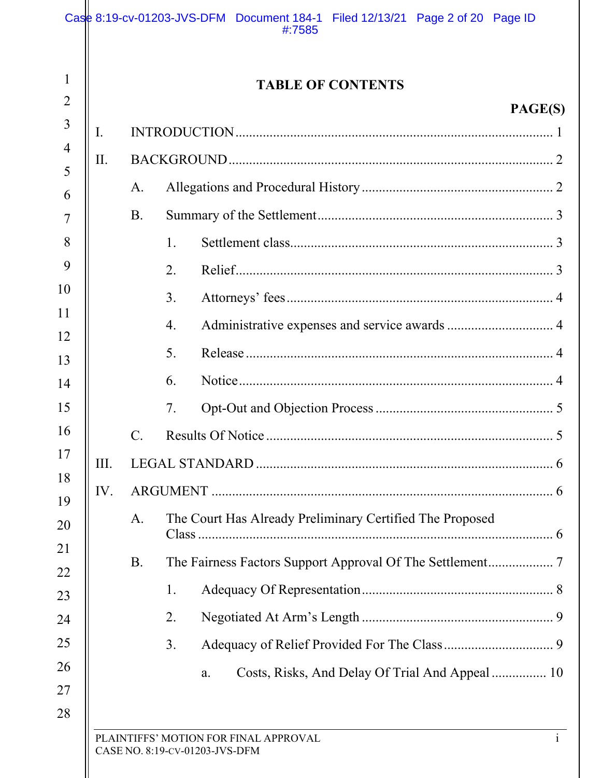|                |           | <b>TABLE OF CONTENTS</b>                                 |
|----------------|-----------|----------------------------------------------------------|
|                |           | PAGE(S)                                                  |
| $\mathbf{I}$ . |           |                                                          |
| II.            |           |                                                          |
|                | А.        |                                                          |
|                | <b>B.</b> |                                                          |
|                |           | 1.                                                       |
|                |           | 2.                                                       |
|                |           | 3.                                                       |
|                |           | 4.                                                       |
|                |           | 5.                                                       |
|                |           | 6.                                                       |
|                |           | 7.                                                       |
|                | C.        |                                                          |
| III.           |           |                                                          |
| IV.            |           |                                                          |
|                | A.        | The Court Has Already Preliminary Certified The Proposed |
|                | <b>B.</b> |                                                          |
|                |           | 1.                                                       |
|                |           | 2.                                                       |
|                |           | 3.                                                       |
|                |           | Costs, Risks, And Delay Of Trial And Appeal  10<br>a.    |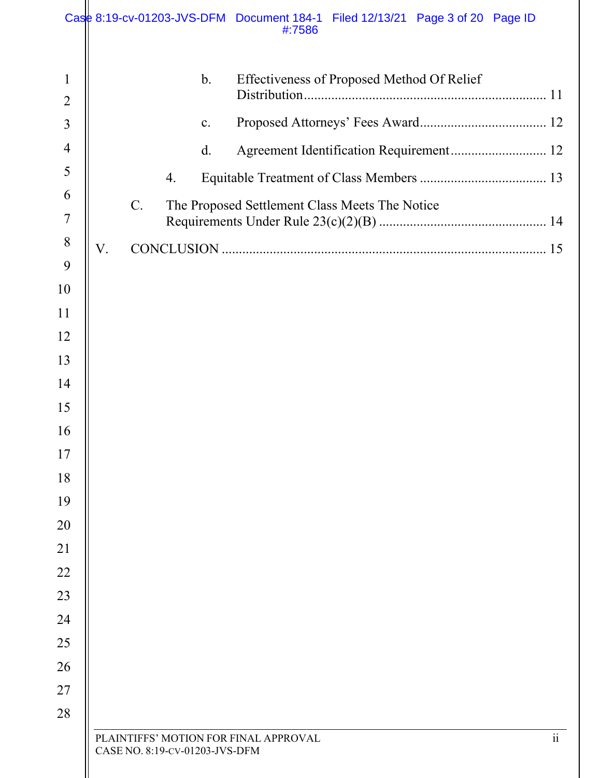|                |    |    |                                | Case 8:19-cv-01203-JVS-DFM Document 184-1 Filed 12/13/21 Page 3 of 20 Page ID<br>#:7586 |                      |
|----------------|----|----|--------------------------------|-----------------------------------------------------------------------------------------|----------------------|
| $\mathbf{1}$   |    |    | $\mathbf b$ .                  | Effectiveness of Proposed Method Of Relief                                              |                      |
| $\overline{2}$ |    |    |                                |                                                                                         |                      |
| 3              |    |    | $\mathbf{c}$ .                 |                                                                                         |                      |
| $\overline{4}$ |    |    | $\mathbf{d}$ .                 | Agreement Identification Requirement 12                                                 |                      |
| 5<br>6         |    |    | 4.                             |                                                                                         |                      |
| 7              |    | C. |                                | The Proposed Settlement Class Meets The Notice                                          |                      |
| 8<br>9         | V. |    |                                |                                                                                         |                      |
| 10             |    |    |                                |                                                                                         |                      |
| 11             |    |    |                                |                                                                                         |                      |
| 12             |    |    |                                |                                                                                         |                      |
| 13             |    |    |                                |                                                                                         |                      |
| 14             |    |    |                                |                                                                                         |                      |
| 15             |    |    |                                |                                                                                         |                      |
| 16             |    |    |                                |                                                                                         |                      |
| 17             |    |    |                                |                                                                                         |                      |
| 18             |    |    |                                |                                                                                         |                      |
| 19             |    |    |                                |                                                                                         |                      |
| 20             |    |    |                                |                                                                                         |                      |
| 21             |    |    |                                |                                                                                         |                      |
| 22             |    |    |                                |                                                                                         |                      |
| 23             |    |    |                                |                                                                                         |                      |
| 24             |    |    |                                |                                                                                         |                      |
| 25             |    |    |                                |                                                                                         |                      |
| 26             |    |    |                                |                                                                                         |                      |
| 27             |    |    |                                |                                                                                         |                      |
| 28             |    |    |                                |                                                                                         |                      |
|                |    |    | CASE NO. 8:19-CV-01203-JVS-DFM | PLAINTIFFS' MOTION FOR FINAL APPROVAL                                                   | $\dddot{\mathbf{i}}$ |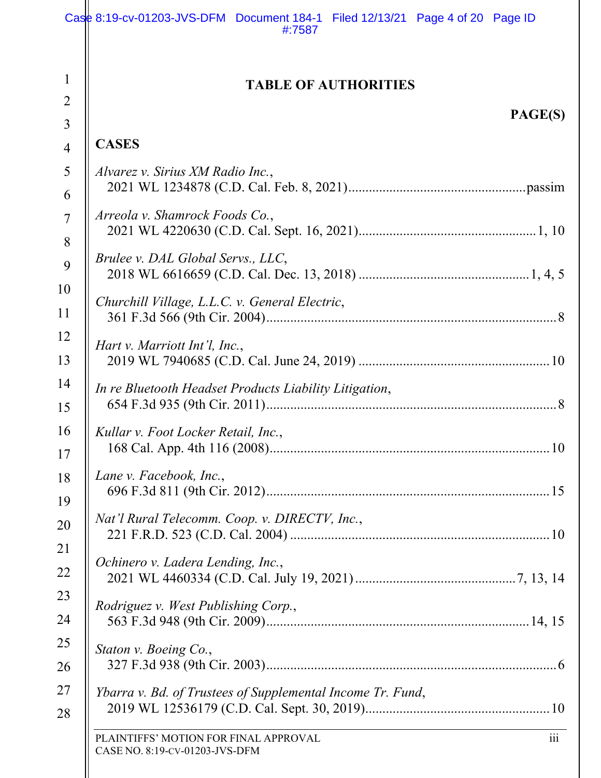|                     | Case 8:19-cv-01203-JVS-DFM Document 184-1 Filed 12/13/21 Page 4 of 20 Page ID<br>#:7587 |
|---------------------|-----------------------------------------------------------------------------------------|
| 1                   | <b>TABLE OF AUTHORITIES</b>                                                             |
| $\overline{2}$<br>3 | PAGE(S)                                                                                 |
| $\overline{4}$      | <b>CASES</b>                                                                            |
| 5                   | Alvarez v. Sirius XM Radio Inc.,                                                        |
| 6                   |                                                                                         |
| $\overline{7}$      | Arreola v. Shamrock Foods Co.,                                                          |
| 8                   |                                                                                         |
| 9                   | Brulee v. DAL Global Servs., LLC,                                                       |
| 10                  |                                                                                         |
| 11                  | Churchill Village, L.L.C. v. General Electric,                                          |
| 12                  | Hart v. Marriott Int'l, Inc.,                                                           |
| 13                  |                                                                                         |
| 14                  | In re Bluetooth Headset Products Liability Litigation,                                  |
| 15                  |                                                                                         |
| 16                  | Kullar v. Foot Locker Retail, Inc.,                                                     |
| 17                  |                                                                                         |
| 18                  | Lane v. Facebook, Inc.,                                                                 |
| 19                  |                                                                                         |
| 20                  | Nat'l Rural Telecomm. Coop. v. DIRECTV, Inc.,                                           |
| 21                  | Ochinero v. Ladera Lending, Inc.,                                                       |
| 22                  |                                                                                         |
| 23                  | Rodriguez v. West Publishing Corp.,                                                     |
| 24                  |                                                                                         |
| 25                  | Staton v. Boeing Co.,                                                                   |
| 26                  |                                                                                         |
| 27                  | Ybarra v. Bd. of Trustees of Supplemental Income Tr. Fund,                              |
| 28                  |                                                                                         |
|                     | PLAINTIFFS' MOTION FOR FINAL APPROVAL<br>111<br>CASE NO. 8:19-CV-01203-JVS-DFM          |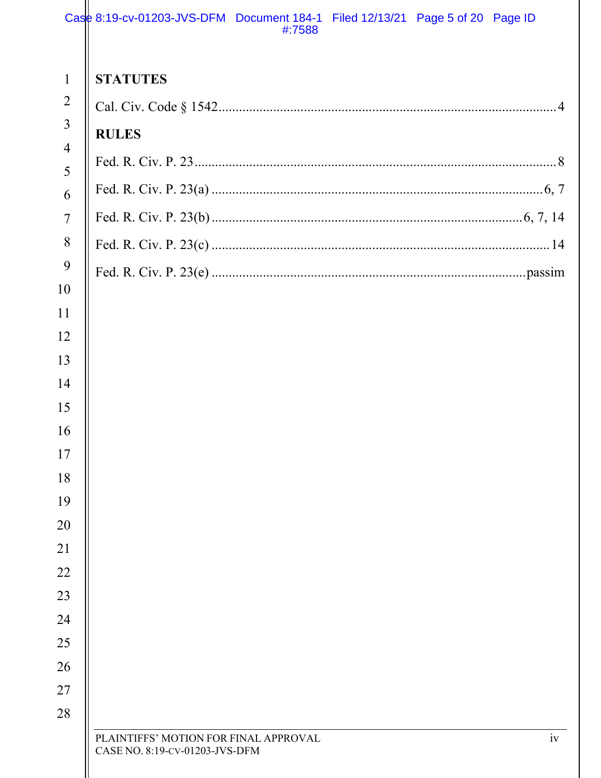|                                                  | Case 8:19-cv-01203-JVS-DFM Document 184-1 Filed 12/13/21 Page 5 of 20 Page ID<br>#:7588 |
|--------------------------------------------------|-----------------------------------------------------------------------------------------|
| $\mathbf{1}$<br>$\overline{2}$<br>$\overline{3}$ | <b>STATUTES</b>                                                                         |
| $\overline{4}$                                   | <b>RULES</b>                                                                            |
| 5                                                |                                                                                         |
| 6                                                |                                                                                         |
| $\overline{7}$                                   |                                                                                         |
| 8                                                |                                                                                         |
| 9                                                |                                                                                         |
| 10<br>11                                         |                                                                                         |
| 12                                               |                                                                                         |
| 13                                               |                                                                                         |
| 14                                               |                                                                                         |
| 15                                               |                                                                                         |
| 16                                               |                                                                                         |
| 17                                               |                                                                                         |
| 18                                               |                                                                                         |
| 19                                               |                                                                                         |
| 20                                               |                                                                                         |
| 21                                               |                                                                                         |
| 22                                               |                                                                                         |
| 23                                               |                                                                                         |
| 24<br>25                                         |                                                                                         |
| 26                                               |                                                                                         |
| 27                                               |                                                                                         |
| 28                                               |                                                                                         |
|                                                  | iv<br>PLAINTIFFS' MOTION FOR FINAL APPROVAL<br>CASE NO. 8:19-CV-01203-JVS-DFM           |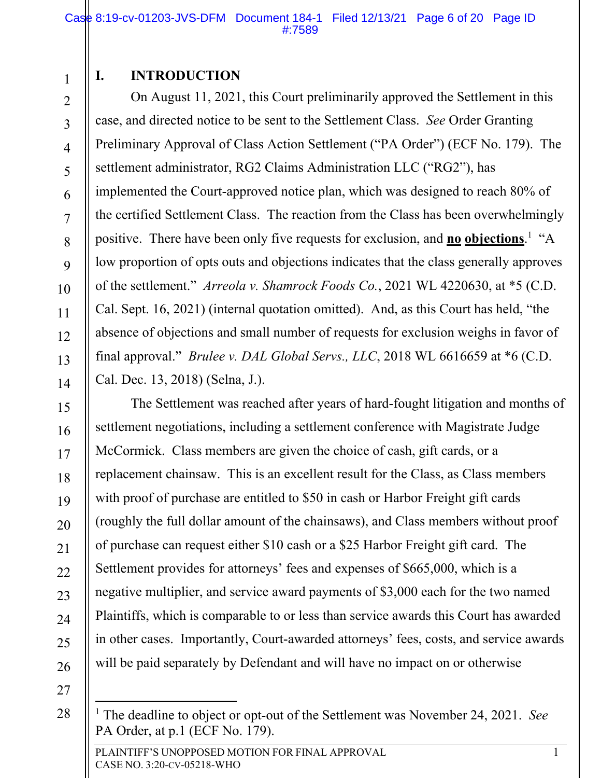1 2

3

4

5

6

7

8

9

10

11

12

13

14

15

16

17

18

19

20

21

22

23

24

25

26

## **I. INTRODUCTION**

On August 11, 2021, this Court preliminarily approved the Settlement in this case, and directed notice to be sent to the Settlement Class. *See* Order Granting Preliminary Approval of Class Action Settlement ("PA Order") (ECF No. 179). The settlement administrator, RG2 Claims Administration LLC ("RG2"), has implemented the Court-approved notice plan, which was designed to reach 80% of the certified Settlement Class. The reaction from the Class has been overwhelmingly positive. There have been only five requests for exclusion, and **no** objections.<sup>1</sup> "A low proportion of opts outs and objections indicates that the class generally approves of the settlement." *Arreola v. Shamrock Foods Co.*, 2021 WL 4220630, at \*5 (C.D. Cal. Sept. 16, 2021) (internal quotation omitted). And, as this Court has held, "the absence of objections and small number of requests for exclusion weighs in favor of final approval." *Brulee v. DAL Global Servs., LLC*, 2018 WL 6616659 at \*6 (C.D. Cal. Dec. 13, 2018) (Selna, J.).

The Settlement was reached after years of hard-fought litigation and months of settlement negotiations, including a settlement conference with Magistrate Judge McCormick. Class members are given the choice of cash, gift cards, or a replacement chainsaw. This is an excellent result for the Class, as Class members with proof of purchase are entitled to \$50 in cash or Harbor Freight gift cards (roughly the full dollar amount of the chainsaws), and Class members without proof of purchase can request either \$10 cash or a \$25 Harbor Freight gift card. The Settlement provides for attorneys' fees and expenses of \$665,000, which is a negative multiplier, and service award payments of \$3,000 each for the two named Plaintiffs, which is comparable to or less than service awards this Court has awarded in other cases. Importantly, Court-awarded attorneys' fees, costs, and service awards will be paid separately by Defendant and will have no impact on or otherwise

<sup>&</sup>lt;sup>1</sup> The deadline to object or opt-out of the Settlement was November 24, 2021. *See* PA Order, at p.1 (ECF No. 179).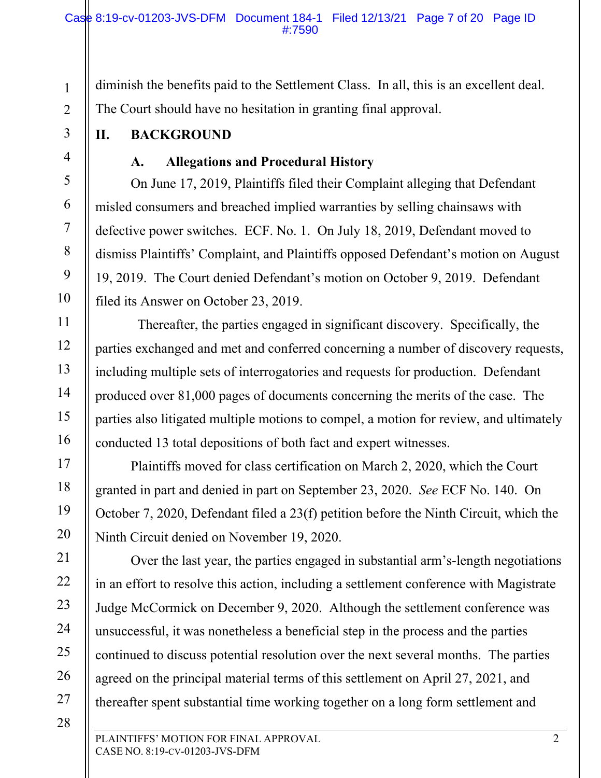diminish the benefits paid to the Settlement Class. In all, this is an excellent deal. The Court should have no hesitation in granting final approval.

**II. BACKGROUND** 

1

2

3

4

5

6

7

8

9

10

11

12

13

14

15

16

17

18

19

20

21

22

23

24

25

26

27

28

# **A. Allegations and Procedural History**

On June 17, 2019, Plaintiffs filed their Complaint alleging that Defendant misled consumers and breached implied warranties by selling chainsaws with defective power switches. ECF. No. 1. On July 18, 2019, Defendant moved to dismiss Plaintiffs' Complaint, and Plaintiffs opposed Defendant's motion on August 19, 2019. The Court denied Defendant's motion on October 9, 2019. Defendant filed its Answer on October 23, 2019.

 Thereafter, the parties engaged in significant discovery. Specifically, the parties exchanged and met and conferred concerning a number of discovery requests, including multiple sets of interrogatories and requests for production. Defendant produced over 81,000 pages of documents concerning the merits of the case. The parties also litigated multiple motions to compel, a motion for review, and ultimately conducted 13 total depositions of both fact and expert witnesses.

 Plaintiffs moved for class certification on March 2, 2020, which the Court granted in part and denied in part on September 23, 2020. *See* ECF No. 140. On October 7, 2020, Defendant filed a 23(f) petition before the Ninth Circuit, which the Ninth Circuit denied on November 19, 2020.

Over the last year, the parties engaged in substantial arm's-length negotiations in an effort to resolve this action, including a settlement conference with Magistrate Judge McCormick on December 9, 2020. Although the settlement conference was unsuccessful, it was nonetheless a beneficial step in the process and the parties continued to discuss potential resolution over the next several months. The parties agreed on the principal material terms of this settlement on April 27, 2021, and thereafter spent substantial time working together on a long form settlement and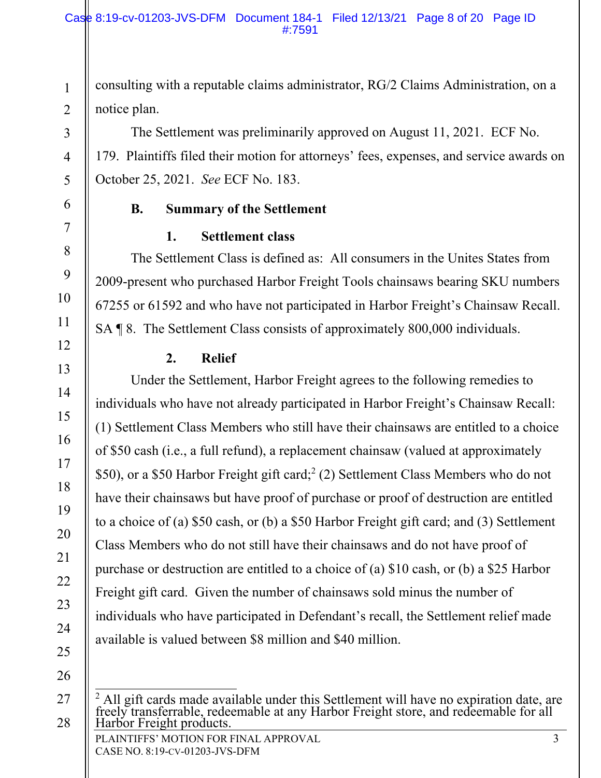consulting with a reputable claims administrator, RG/2 Claims Administration, on a notice plan.

The Settlement was preliminarily approved on August 11, 2021. ECF No. 179. Plaintiffs filed their motion for attorneys' fees, expenses, and service awards on October 25, 2021. *See* ECF No. 183.

## **B. Summary of the Settlement**

## **1. Settlement class**

The Settlement Class is defined as: All consumers in the Unites States from 2009-present who purchased Harbor Freight Tools chainsaws bearing SKU numbers 67255 or 61592 and who have not participated in Harbor Freight's Chainsaw Recall. SA ¶ 8. The Settlement Class consists of approximately 800,000 individuals.

# **2. Relief**

Under the Settlement, Harbor Freight agrees to the following remedies to individuals who have not already participated in Harbor Freight's Chainsaw Recall: (1) Settlement Class Members who still have their chainsaws are entitled to a choice of \$50 cash (i.e., a full refund), a replacement chainsaw (valued at approximately \$50), or a \$50 Harbor Freight gift card;<sup>2</sup> (2) Settlement Class Members who do not have their chainsaws but have proof of purchase or proof of destruction are entitled to a choice of (a) \$50 cash, or (b) a \$50 Harbor Freight gift card; and (3) Settlement Class Members who do not still have their chainsaws and do not have proof of purchase or destruction are entitled to a choice of (a) \$10 cash, or (b) a \$25 Harbor Freight gift card. Given the number of chainsaws sold minus the number of individuals who have participated in Defendant's recall, the Settlement relief made available is valued between \$8 million and \$40 million.

26

27

28

1

2

3

4

5

6

7

8

9

10

11

12

13

14

15

16

17

18

19

20

21

22

23

24

PLAINTIFFS' MOTION FOR FINAL APPROVAL 3 <sup>2</sup> All gift cards made available under this Settlement will have no expiration date, are freely transferrable, redeemable at any Harbor Freight store, and redeemable for all Harbor Freight products.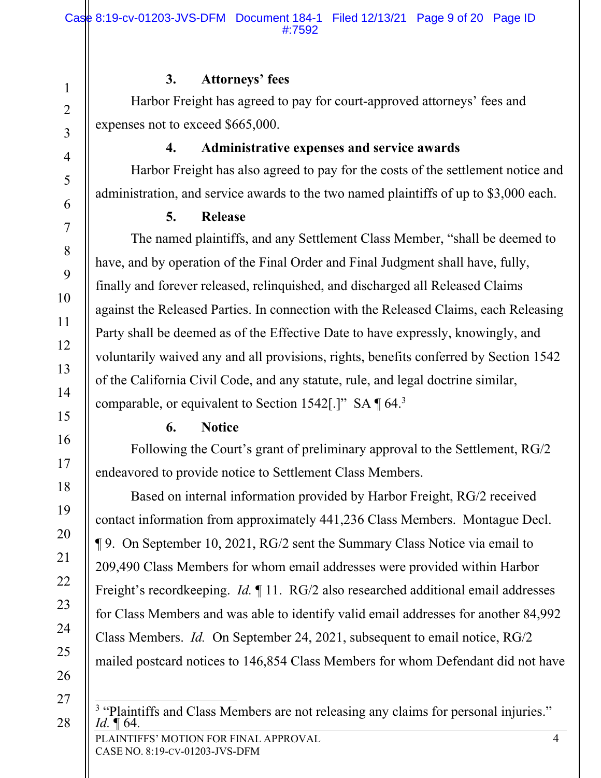#### **3. Attorneys' fees**

Harbor Freight has agreed to pay for court-approved attorneys' fees and expenses not to exceed \$665,000.

## **4. Administrative expenses and service awards**

Harbor Freight has also agreed to pay for the costs of the settlement notice and administration, and service awards to the two named plaintiffs of up to \$3,000 each.

### **5. Release**

The named plaintiffs, and any Settlement Class Member, "shall be deemed to have, and by operation of the Final Order and Final Judgment shall have, fully, finally and forever released, relinquished, and discharged all Released Claims against the Released Parties. In connection with the Released Claims, each Releasing Party shall be deemed as of the Effective Date to have expressly, knowingly, and voluntarily waived any and all provisions, rights, benefits conferred by Section 1542 of the California Civil Code, and any statute, rule, and legal doctrine similar, comparable, or equivalent to Section 1542[.]" SA  $\P$  64.<sup>3</sup>

## **6. Notice**

Following the Court's grant of preliminary approval to the Settlement, RG/2 endeavored to provide notice to Settlement Class Members.

Based on internal information provided by Harbor Freight, RG/2 received contact information from approximately 441,236 Class Members. Montague Decl. ¶ 9. On September 10, 2021, RG/2 sent the Summary Class Notice via email to 209,490 Class Members for whom email addresses were provided within Harbor Freight's recordkeeping. *Id.* ¶ 11. RG/2 also researched additional email addresses for Class Members and was able to identify valid email addresses for another 84,992 Class Members. *Id.* On September 24, 2021, subsequent to email notice, RG/2 mailed postcard notices to 146,854 Class Members for whom Defendant did not have

26 27

28

1

2

3

4

5

6

7

8

9

10

11

12

13

14

15

16

17

18

19

20

21

22

23

24

25

<sup>3</sup> "Plaintiffs and Class Members are not releasing any claims for personal injuries."<br>*Id.* ¶ 64.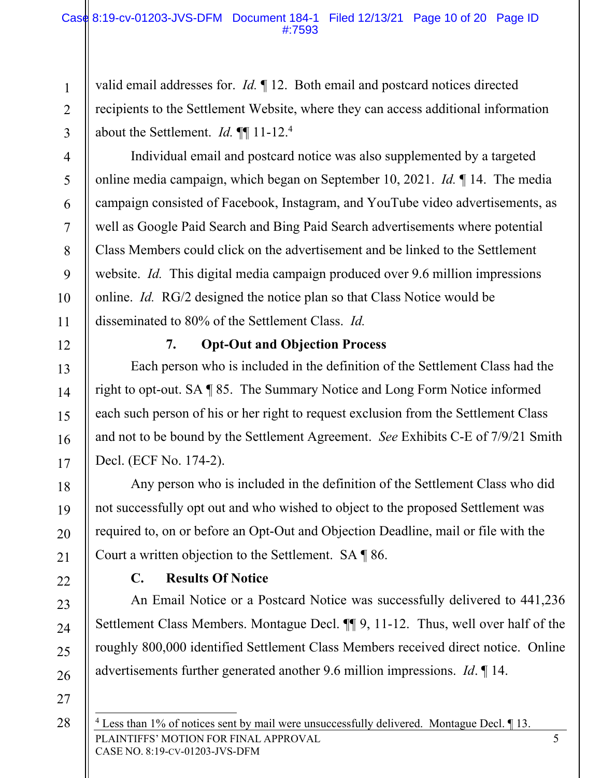valid email addresses for. *Id.* ¶ 12. Both email and postcard notices directed recipients to the Settlement Website, where they can access additional information about the Settlement. *Id.* ¶¶ 11-12.4

Individual email and postcard notice was also supplemented by a targeted online media campaign, which began on September 10, 2021. *Id.* ¶ 14. The media campaign consisted of Facebook, Instagram, and YouTube video advertisements, as well as Google Paid Search and Bing Paid Search advertisements where potential Class Members could click on the advertisement and be linked to the Settlement website. *Id.* This digital media campaign produced over 9.6 million impressions online. *Id.* RG/2 designed the notice plan so that Class Notice would be disseminated to 80% of the Settlement Class. *Id.*

### **7. Opt-Out and Objection Process**

Each person who is included in the definition of the Settlement Class had the right to opt-out. SA ¶ 85. The Summary Notice and Long Form Notice informed each such person of his or her right to request exclusion from the Settlement Class and not to be bound by the Settlement Agreement. *See* Exhibits C-E of 7/9/21 Smith Decl. (ECF No. 174-2).

Any person who is included in the definition of the Settlement Class who did not successfully opt out and who wished to object to the proposed Settlement was required to, on or before an Opt-Out and Objection Deadline, mail or file with the Court a written objection to the Settlement. SA ¶ 86.

#### **C. Results Of Notice**

An Email Notice or a Postcard Notice was successfully delivered to 441,236 Settlement Class Members. Montague Decl. ¶¶ 9, 11-12. Thus, well over half of the roughly 800,000 identified Settlement Class Members received direct notice. Online advertisements further generated another 9.6 million impressions. *Id*. ¶ 14.

28

27

1

2

3

4

5

6

7

8

9

10

11

12

13

14

15

16

17

18

19

20

21

22

23

24

25

PLAINTIFFS' MOTION FOR FINAL APPROVAL 5 CASE NO. 8:19-CV-01203-JVS-DFM <sup>4</sup> Less than 1% of notices sent by mail were unsuccessfully delivered. Montague Decl. 113.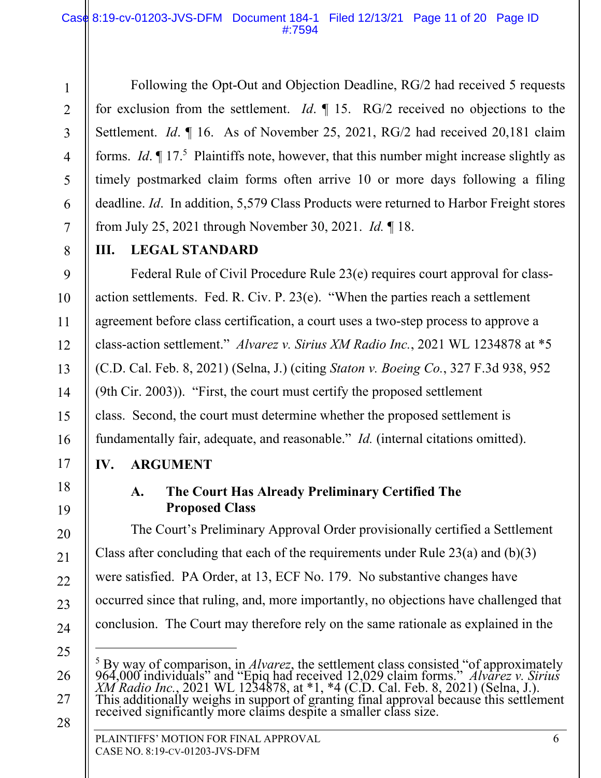Following the Opt-Out and Objection Deadline, RG/2 had received 5 requests for exclusion from the settlement. *Id*. ¶ 15. RG/2 received no objections to the Settlement. *Id.*  $\parallel$  16. As of November 25, 2021, RG/2 had received 20,181 claim forms. *Id*. *[*] 17.<sup>5</sup> Plaintiffs note, however, that this number might increase slightly as timely postmarked claim forms often arrive 10 or more days following a filing deadline. *Id*. In addition, 5,579 Class Products were returned to Harbor Freight stores from July 25, 2021 through November 30, 2021. *Id.* ¶ 18.

1

2

3

4

5

6

7

8

9

10

11

12

13

14

15

16

17

18

19

20

21

22

23

24

25

26

27

28

## **III. LEGAL STANDARD**

Federal Rule of Civil Procedure Rule 23(e) requires court approval for classaction settlements. Fed. R. Civ. P. 23(e). "When the parties reach a settlement agreement before class certification, a court uses a two-step process to approve a class-action settlement." *Alvarez v. Sirius XM Radio Inc.*, 2021 WL 1234878 at \*5 (C.D. Cal. Feb. 8, 2021) (Selna, J.) (citing *Staton v. Boeing Co.*, 327 F.3d 938, 952 (9th Cir. 2003)). "First, the court must certify the proposed settlement class. Second, the court must determine whether the proposed settlement is fundamentally fair, adequate, and reasonable." *Id.* (internal citations omitted).

## **IV. ARGUMENT**

# **A. The Court Has Already Preliminary Certified The Proposed Class**

The Court's Preliminary Approval Order provisionally certified a Settlement Class after concluding that each of the requirements under Rule 23(a) and (b)(3) were satisfied. PA Order, at 13, ECF No. 179. No substantive changes have occurred since that ruling, and, more importantly, no objections have challenged that conclusion. The Court may therefore rely on the same rationale as explained in the

<sup>5</sup> By way of comparison, in *Alvarez*, the settlement class consisted "of approximately 964,000 individuals" and "Epiq had received 12,029 claim forms." *Alvarez v. Sirius*  XM Radio Inc., 2021 WL 1234878, at \*1, \*4 (C.D. Cal. Feb. 8, 2021) (Selna, J.).<br>This additionally weighs in support of granting final approval because this settlement<br>received significantly more claims despite a smaller cl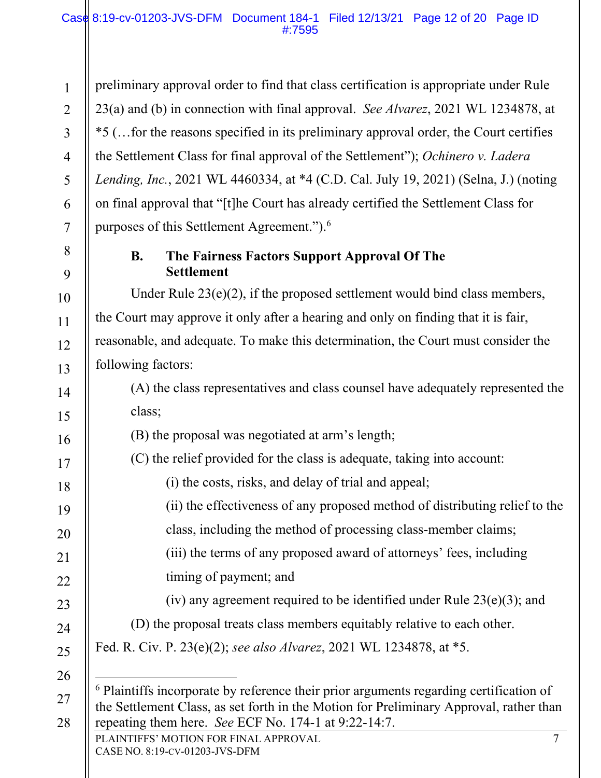1

2

3

4

5

6

7

8

9

10

11

12

13

14

15

16

17

18

19

20

21

22

23

24

25

26

27

28

preliminary approval order to find that class certification is appropriate under Rule 23(a) and (b) in connection with final approval. *See Alvarez*, 2021 WL 1234878, at \*5 (…for the reasons specified in its preliminary approval order, the Court certifies the Settlement Class for final approval of the Settlement"); *Ochinero v. Ladera Lending, Inc.*, 2021 WL 4460334, at \*4 (C.D. Cal. July 19, 2021) (Selna, J.) (noting on final approval that "[t]he Court has already certified the Settlement Class for purposes of this Settlement Agreement.").<sup>6</sup>

## **B. The Fairness Factors Support Approval Of The Settlement**

Under Rule 23(e)(2), if the proposed settlement would bind class members, the Court may approve it only after a hearing and only on finding that it is fair, reasonable, and adequate. To make this determination, the Court must consider the following factors:

(A) the class representatives and class counsel have adequately represented the class;

- (B) the proposal was negotiated at arm's length;
- (C) the relief provided for the class is adequate, taking into account:
	- (i) the costs, risks, and delay of trial and appeal;
	- (ii) the effectiveness of any proposed method of distributing relief to the
		- class, including the method of processing class-member claims;
		- (iii) the terms of any proposed award of attorneys' fees, including timing of payment; and
		- (iv) any agreement required to be identified under Rule  $23(e)(3)$ ; and
- (D) the proposal treats class members equitably relative to each other.

Fed. R. Civ. P. 23(e)(2); *see also Alvarez*, 2021 WL 1234878, at \*5.

<sup>6</sup> Plaintiffs incorporate by reference their prior arguments regarding certification of the Settlement Class, as set forth in the Motion for Preliminary Approval, rather than repeating them here. *See* ECF No. 174-1 at 9:22-14:7.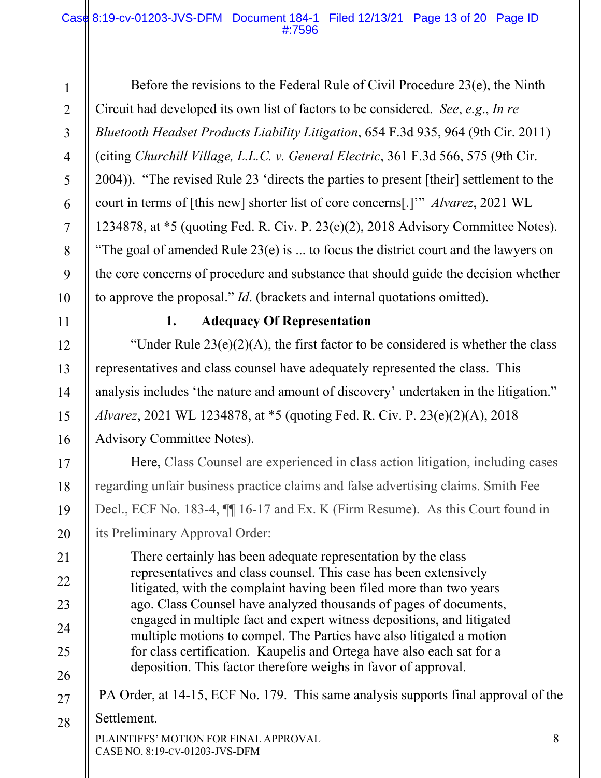1 2 3 4 5 6 7 8 9 10 Before the revisions to the Federal Rule of Civil Procedure 23(e), the Ninth Circuit had developed its own list of factors to be considered. *See*, *e.g*., *In re Bluetooth Headset Products Liability Litigation*, 654 F.3d 935, 964 (9th Cir. 2011) (citing *Churchill Village, L.L.C. v. General Electric*, 361 F.3d 566, 575 (9th Cir. 2004)). "The revised Rule 23 'directs the parties to present [their] settlement to the court in terms of [this new] shorter list of core concerns[.]'" *Alvarez*, 2021 WL 1234878, at \*5 (quoting Fed. R. Civ. P. 23(e)(2), 2018 Advisory Committee Notes). "The goal of amended Rule  $23(e)$  is ... to focus the district court and the lawyers on the core concerns of procedure and substance that should guide the decision whether to approve the proposal." *Id*. (brackets and internal quotations omitted).

11

12

13

14

15

16

17

18

19

20

21

22

23

24

25

26

### **1. Adequacy Of Representation**

"Under Rule  $23(e)(2)(A)$ , the first factor to be considered is whether the class representatives and class counsel have adequately represented the class. This analysis includes 'the nature and amount of discovery' undertaken in the litigation." *Alvarez*, 2021 WL 1234878, at \*5 (quoting Fed. R. Civ. P. 23(e)(2)(A), 2018 Advisory Committee Notes).

Here, Class Counsel are experienced in class action litigation, including cases regarding unfair business practice claims and false advertising claims. Smith Fee Decl., ECF No. 183-4, ¶¶ 16-17 and Ex. K (Firm Resume). As this Court found in its Preliminary Approval Order:

There certainly has been adequate representation by the class representatives and class counsel. This case has been extensively litigated, with the complaint having been filed more than two years ago. Class Counsel have analyzed thousands of pages of documents, engaged in multiple fact and expert witness depositions, and litigated multiple motions to compel. The Parties have also litigated a motion for class certification. Kaupelis and Ortega have also each sat for a deposition. This factor therefore weighs in favor of approval.

- 27 PA Order, at 14-15, ECF No. 179. This same analysis supports final approval of the
- 28 Settlement.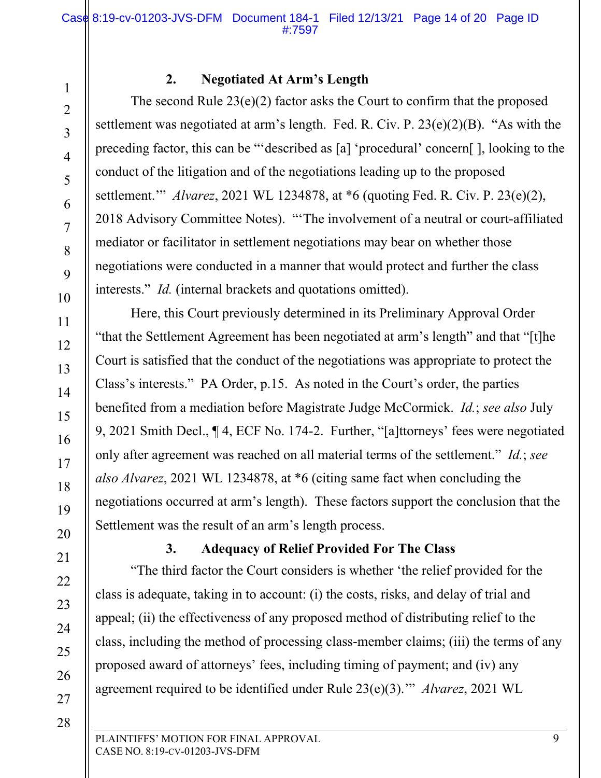#### **2. Negotiated At Arm's Length**

The second Rule  $23(e)(2)$  factor asks the Court to confirm that the proposed settlement was negotiated at arm's length. Fed. R. Civ. P. 23(e)(2)(B). "As with the preceding factor, this can be "'described as [a] 'procedural' concern[ ], looking to the conduct of the litigation and of the negotiations leading up to the proposed settlement.'" *Alvarez*, 2021 WL 1234878, at \*6 (quoting Fed. R. Civ. P. 23(e)(2), 2018 Advisory Committee Notes). "'The involvement of a neutral or court-affiliated mediator or facilitator in settlement negotiations may bear on whether those negotiations were conducted in a manner that would protect and further the class interests." *Id.* (internal brackets and quotations omitted).

Here, this Court previously determined in its Preliminary Approval Order "that the Settlement Agreement has been negotiated at arm's length" and that "[t]he Court is satisfied that the conduct of the negotiations was appropriate to protect the Class's interests." PA Order, p.15. As noted in the Court's order, the parties benefited from a mediation before Magistrate Judge McCormick. *Id.*; *see also* July 9, 2021 Smith Decl., ¶ 4, ECF No. 174-2. Further, "[a]ttorneys' fees were negotiated only after agreement was reached on all material terms of the settlement." *Id.*; *see also Alvarez*, 2021 WL 1234878, at \*6 (citing same fact when concluding the negotiations occurred at arm's length). These factors support the conclusion that the Settlement was the result of an arm's length process.

# **3. Adequacy of Relief Provided For The Class**

"The third factor the Court considers is whether 'the relief provided for the class is adequate, taking in to account: (i) the costs, risks, and delay of trial and appeal; (ii) the effectiveness of any proposed method of distributing relief to the class, including the method of processing class-member claims; (iii) the terms of any proposed award of attorneys' fees, including timing of payment; and (iv) any agreement required to be identified under Rule 23(e)(3).'" *Alvarez*, 2021 WL

28

1

2

3

4

5

6

7

8

9

10

11

12

13

14

15

16

17

18

19

20

21

22

23

24

25

26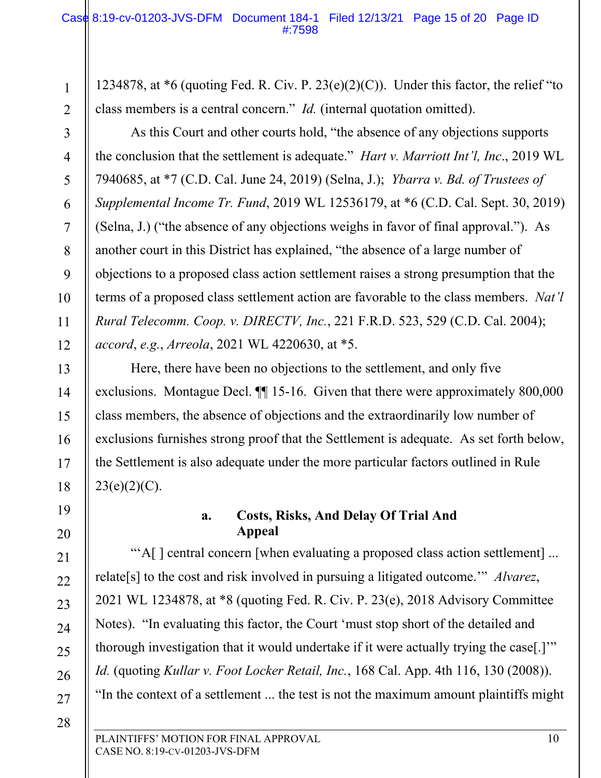1234878, at  $*6$  (quoting Fed. R. Civ. P. 23(e)(2)(C)). Under this factor, the relief "to class members is a central concern." *Id.* (internal quotation omitted).

 As this Court and other courts hold, "the absence of any objections supports the conclusion that the settlement is adequate." *Hart v. Marriott Int'l, Inc*., 2019 WL 7940685, at \*7 (C.D. Cal. June 24, 2019) (Selna, J.); *Ybarra v. Bd. of Trustees of Supplemental Income Tr. Fund*, 2019 WL 12536179, at \*6 (C.D. Cal. Sept. 30, 2019) (Selna, J.) ("the absence of any objections weighs in favor of final approval."). As another court in this District has explained, "the absence of a large number of objections to a proposed class action settlement raises a strong presumption that the terms of a proposed class settlement action are favorable to the class members. *Nat'l Rural Telecomm. Coop. v. DIRECTV, Inc.*, 221 F.R.D. 523, 529 (C.D. Cal. 2004); *accord*, *e.g.*, *Arreola*, 2021 WL 4220630, at \*5.

 Here, there have been no objections to the settlement, and only five exclusions. Montague Decl. ¶¶ 15-16. Given that there were approximately 800,000 class members, the absence of objections and the extraordinarily low number of exclusions furnishes strong proof that the Settlement is adequate. As set forth below, the Settlement is also adequate under the more particular factors outlined in Rule  $23(e)(2)(C)$ .

# 19 20

21

22

23

24

25

26

27

1

2

3

4

5

6

7

8

9

10

11

12

13

14

15

16

17

18

### **a. Costs, Risks, And Delay Of Trial And Appeal**

"'A[ ] central concern [when evaluating a proposed class action settlement] ... relate[s] to the cost and risk involved in pursuing a litigated outcome.'" *Alvarez*, 2021 WL 1234878, at \*8 (quoting Fed. R. Civ. P. 23(e), 2018 Advisory Committee Notes). "In evaluating this factor, the Court 'must stop short of the detailed and thorough investigation that it would undertake if it were actually trying the case[.]" *Id.* (quoting *Kullar v. Foot Locker Retail, Inc.*, 168 Cal. App. 4th 116, 130 (2008)). "In the context of a settlement ... the test is not the maximum amount plaintiffs might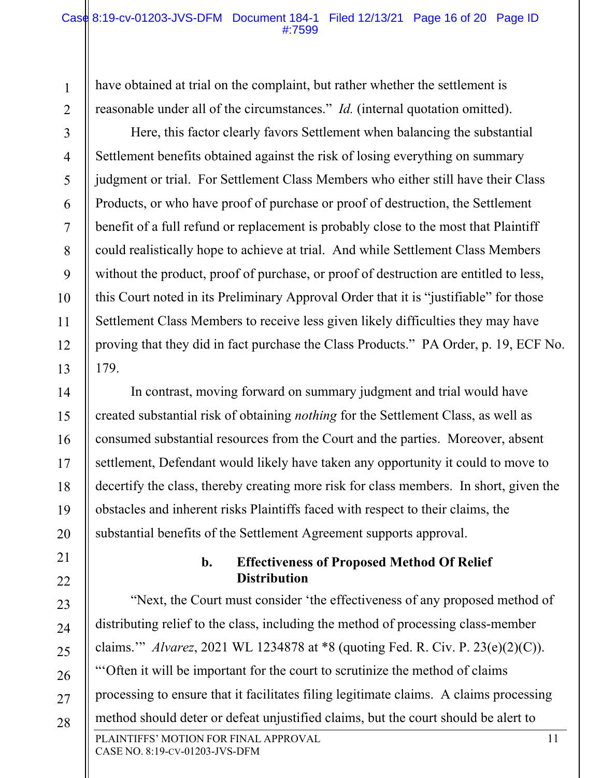have obtained at trial on the complaint, but rather whether the settlement is reasonable under all of the circumstances." *Id.* (internal quotation omitted).

1

2

3

4

5

6

7

8

9

10

11

12

13

14

15

16

17

18

19

20

21

22

23

24

25

26

27

28

Here, this factor clearly favors Settlement when balancing the substantial Settlement benefits obtained against the risk of losing everything on summary judgment or trial. For Settlement Class Members who either still have their Class Products, or who have proof of purchase or proof of destruction, the Settlement benefit of a full refund or replacement is probably close to the most that Plaintiff could realistically hope to achieve at trial. And while Settlement Class Members without the product, proof of purchase, or proof of destruction are entitled to less, this Court noted in its Preliminary Approval Order that it is "justifiable" for those Settlement Class Members to receive less given likely difficulties they may have proving that they did in fact purchase the Class Products." PA Order, p. 19, ECF No. 179.

In contrast, moving forward on summary judgment and trial would have created substantial risk of obtaining *nothing* for the Settlement Class, as well as consumed substantial resources from the Court and the parties. Moreover, absent settlement, Defendant would likely have taken any opportunity it could to move to decertify the class, thereby creating more risk for class members. In short, given the obstacles and inherent risks Plaintiffs faced with respect to their claims, the substantial benefits of the Settlement Agreement supports approval.

### **b. Effectiveness of Proposed Method Of Relief Distribution**

PLAINTIFFS' MOTION FOR FINAL APPROVAL 11 "Next, the Court must consider 'the effectiveness of any proposed method of distributing relief to the class, including the method of processing class-member claims.'" *Alvarez*, 2021 WL 1234878 at \*8 (quoting Fed. R. Civ. P. 23(e)(2)(C)). "'Often it will be important for the court to scrutinize the method of claims processing to ensure that it facilitates filing legitimate claims. A claims processing method should deter or defeat unjustified claims, but the court should be alert to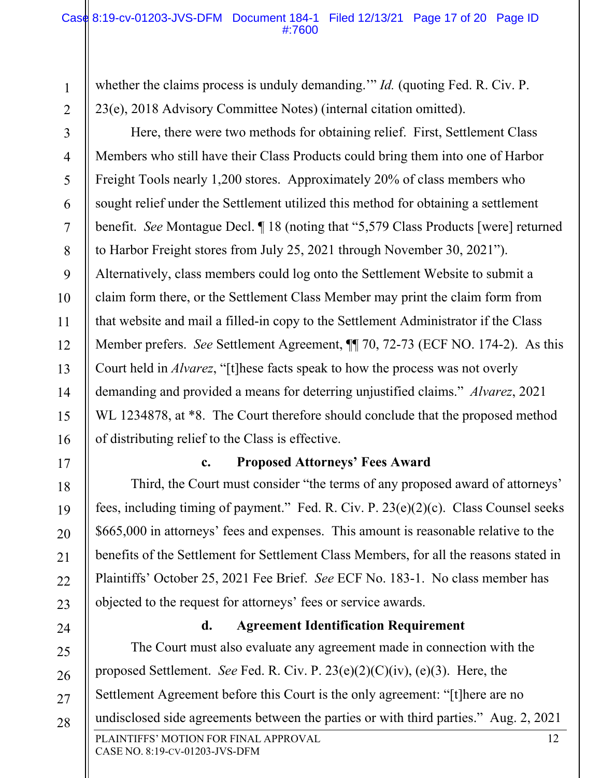whether the claims process is unduly demanding." *Id.* (quoting Fed. R. Civ. P. 23(e), 2018 Advisory Committee Notes) (internal citation omitted).

1

2

3

4

5

6

7

8

9

10

11

12

13

14

15

16

17

18

19

20

21

22

23

24

Here, there were two methods for obtaining relief. First, Settlement Class Members who still have their Class Products could bring them into one of Harbor Freight Tools nearly 1,200 stores. Approximately 20% of class members who sought relief under the Settlement utilized this method for obtaining a settlement benefit. *See* Montague Decl. ¶ 18 (noting that "5,579 Class Products [were] returned to Harbor Freight stores from July 25, 2021 through November 30, 2021"). Alternatively, class members could log onto the Settlement Website to submit a claim form there, or the Settlement Class Member may print the claim form from that website and mail a filled-in copy to the Settlement Administrator if the Class Member prefers. *See* Settlement Agreement, ¶¶ 70, 72-73 (ECF NO. 174-2). As this Court held in *Alvarez*, "[t]hese facts speak to how the process was not overly demanding and provided a means for deterring unjustified claims." *Alvarez*, 2021 WL 1234878, at  $*8$ . The Court therefore should conclude that the proposed method of distributing relief to the Class is effective.

#### **c. Proposed Attorneys' Fees Award**

Third, the Court must consider "the terms of any proposed award of attorneys' fees, including timing of payment." Fed. R. Civ. P. 23(e)(2)(c). Class Counsel seeks \$665,000 in attorneys' fees and expenses. This amount is reasonable relative to the benefits of the Settlement for Settlement Class Members, for all the reasons stated in Plaintiffs' October 25, 2021 Fee Brief. *See* ECF No. 183-1. No class member has objected to the request for attorneys' fees or service awards.

**d. Agreement Identification Requirement** 

PLAINTIFFS' MOTION FOR FINAL APPROVAL 12 25 26 27 28 The Court must also evaluate any agreement made in connection with the proposed Settlement. *See* Fed. R. Civ. P. 23(e)(2)(C)(iv), (e)(3). Here, the Settlement Agreement before this Court is the only agreement: "[t]here are no undisclosed side agreements between the parties or with third parties." Aug. 2, 2021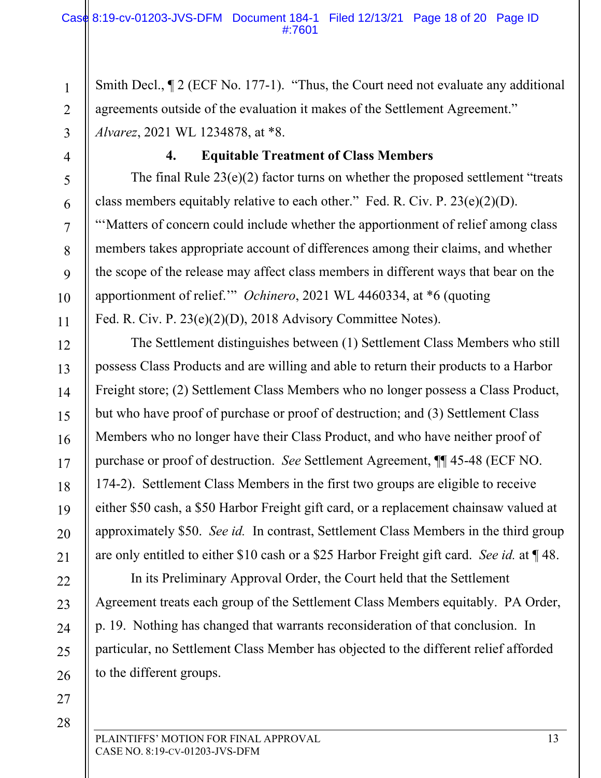Smith Decl.,  $\P$  2 (ECF No. 177-1). "Thus, the Court need not evaluate any additional agreements outside of the evaluation it makes of the Settlement Agreement." *Alvarez*, 2021 WL 1234878, at \*8.

1

2

3

4

5

6

7

8

9

10

11

12

13

14

15

16

17

18

19

20

21

22

23

24

25

26

27

## **4. Equitable Treatment of Class Members**

The final Rule  $23(e)(2)$  factor turns on whether the proposed settlement "treats" class members equitably relative to each other." Fed. R. Civ. P. 23(e)(2)(D). "'Matters of concern could include whether the apportionment of relief among class members takes appropriate account of differences among their claims, and whether the scope of the release may affect class members in different ways that bear on the apportionment of relief.'" *Ochinero*, 2021 WL 4460334, at \*6 (quoting Fed. R. Civ. P. 23(e)(2)(D), 2018 Advisory Committee Notes).

 The Settlement distinguishes between (1) Settlement Class Members who still possess Class Products and are willing and able to return their products to a Harbor Freight store; (2) Settlement Class Members who no longer possess a Class Product, but who have proof of purchase or proof of destruction; and (3) Settlement Class Members who no longer have their Class Product, and who have neither proof of purchase or proof of destruction. *See* Settlement Agreement, ¶¶ 45-48 (ECF NO. 174-2). Settlement Class Members in the first two groups are eligible to receive either \$50 cash, a \$50 Harbor Freight gift card, or a replacement chainsaw valued at approximately \$50. *See id.* In contrast, Settlement Class Members in the third group are only entitled to either \$10 cash or a \$25 Harbor Freight gift card. *See id.* at ¶ 48.

 In its Preliminary Approval Order, the Court held that the Settlement Agreement treats each group of the Settlement Class Members equitably. PA Order, p. 19. Nothing has changed that warrants reconsideration of that conclusion. In particular, no Settlement Class Member has objected to the different relief afforded to the different groups.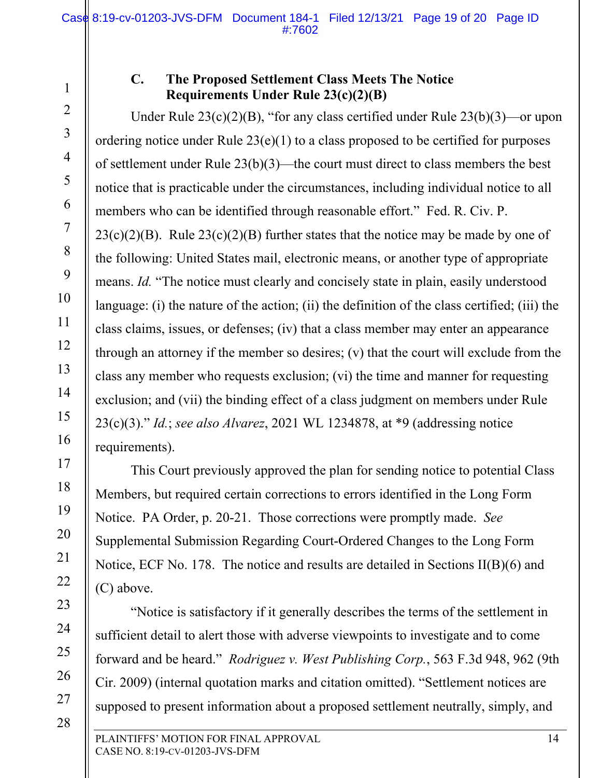4

5

6

7

8

9

10

11

12

13

14

15

16

17

18

19

20

21

22

23

24

25

26

27

28

### **C. The Proposed Settlement Class Meets The Notice Requirements Under Rule 23(c)(2)(B)**

Under Rule 23(c)(2)(B), "for any class certified under Rule 23(b)(3)—or upon ordering notice under Rule 23(e)(1) to a class proposed to be certified for purposes of settlement under Rule 23(b)(3)—the court must direct to class members the best notice that is practicable under the circumstances, including individual notice to all members who can be identified through reasonable effort." Fed. R. Civ. P.  $23(c)(2)(B)$ . Rule  $23(c)(2)(B)$  further states that the notice may be made by one of the following: United States mail, electronic means, or another type of appropriate means. *Id.* "The notice must clearly and concisely state in plain, easily understood language: (i) the nature of the action; (ii) the definition of the class certified; (iii) the class claims, issues, or defenses; (iv) that a class member may enter an appearance through an attorney if the member so desires; (v) that the court will exclude from the class any member who requests exclusion; (vi) the time and manner for requesting exclusion; and (vii) the binding effect of a class judgment on members under Rule 23(c)(3)." *Id.*; *see also Alvarez*, 2021 WL 1234878, at \*9 (addressing notice requirements).

This Court previously approved the plan for sending notice to potential Class Members, but required certain corrections to errors identified in the Long Form Notice. PA Order, p. 20-21. Those corrections were promptly made. *See*  Supplemental Submission Regarding Court-Ordered Changes to the Long Form Notice, ECF No. 178. The notice and results are detailed in Sections II(B)(6) and (C) above.

"Notice is satisfactory if it generally describes the terms of the settlement in sufficient detail to alert those with adverse viewpoints to investigate and to come forward and be heard." *Rodriguez v. West Publishing Corp.*, 563 F.3d 948, 962 (9th Cir. 2009) (internal quotation marks and citation omitted). "Settlement notices are supposed to present information about a proposed settlement neutrally, simply, and

<sup>1</sup>  2 3